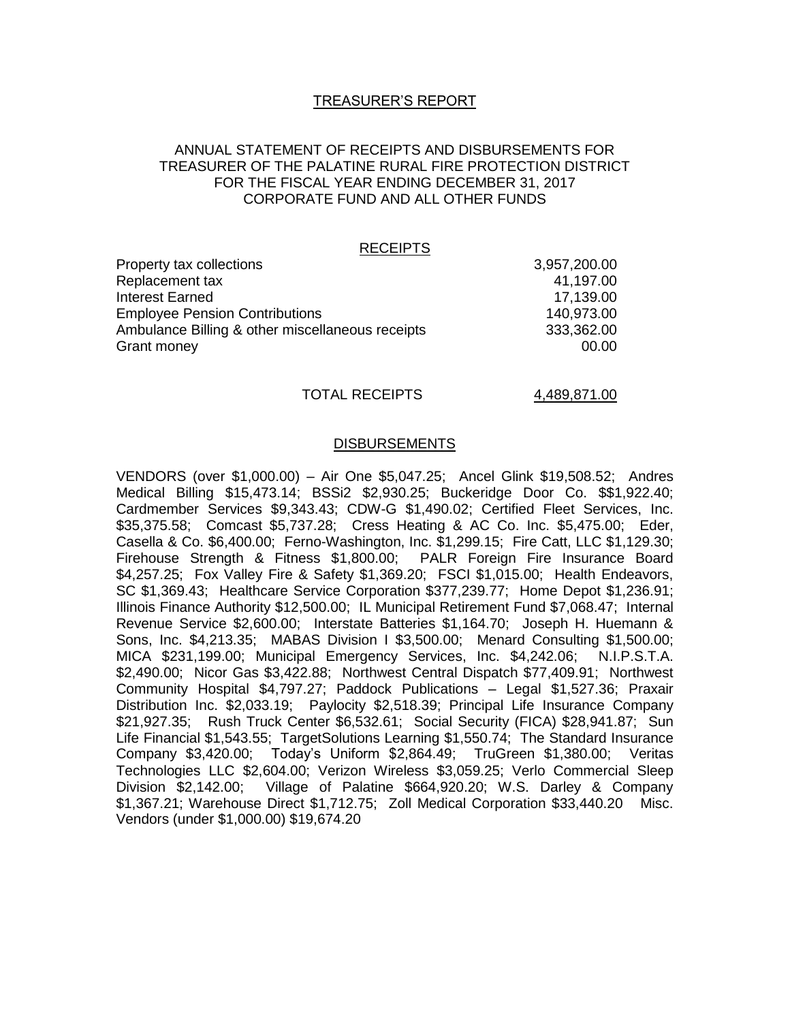## TREASURER'S REPORT

## ANNUAL STATEMENT OF RECEIPTS AND DISBURSEMENTS FOR TREASURER OF THE PALATINE RURAL FIRE PROTECTION DISTRICT FOR THE FISCAL YEAR ENDING DECEMBER 31, 2017 CORPORATE FUND AND ALL OTHER FUNDS

#### RECEIPTS

| Property tax collections                         | 3,957,200.00 |
|--------------------------------------------------|--------------|
| Replacement tax                                  | 41,197.00    |
| Interest Earned                                  | 17,139.00    |
| <b>Employee Pension Contributions</b>            | 140,973.00   |
| Ambulance Billing & other miscellaneous receipts | 333,362.00   |
| Grant money                                      | 00.00        |
|                                                  |              |

### TOTAL RECEIPTS 4,489,871.00

#### DISBURSEMENTS

VENDORS (over \$1,000.00) – Air One \$5,047.25; Ancel Glink \$19,508.52; Andres Medical Billing \$15,473.14; BSSi2 \$2,930.25; Buckeridge Door Co. \$\$1,922.40; Cardmember Services \$9,343.43; CDW-G \$1,490.02; Certified Fleet Services, Inc. \$35,375.58; Comcast \$5,737.28; Cress Heating & AC Co. Inc. \$5,475.00; Eder, Casella & Co. \$6,400.00; Ferno-Washington, Inc. \$1,299.15; Fire Catt, LLC \$1,129.30; Firehouse Strength & Fitness \$1,800.00; PALR Foreign Fire Insurance Board \$4,257.25; Fox Valley Fire & Safety \$1,369.20; FSCI \$1,015.00; Health Endeavors, SC \$1,369.43; Healthcare Service Corporation \$377,239.77; Home Depot \$1,236.91; Illinois Finance Authority \$12,500.00; IL Municipal Retirement Fund \$7,068.47; Internal Revenue Service \$2,600.00; Interstate Batteries \$1,164.70; Joseph H. Huemann & Sons, Inc. \$4,213.35; MABAS Division I \$3,500.00; Menard Consulting \$1,500.00; MICA \$231,199.00; Municipal Emergency Services, Inc. \$4,242.06; N.I.P.S.T.A. \$2,490.00; Nicor Gas \$3,422.88; Northwest Central Dispatch \$77,409.91; Northwest Community Hospital \$4,797.27; Paddock Publications – Legal \$1,527.36; Praxair Distribution Inc. \$2,033.19; Paylocity \$2,518.39; Principal Life Insurance Company \$21,927.35; Rush Truck Center \$6,532.61; Social Security (FICA) \$28,941.87; Sun Life Financial \$1,543.55; TargetSolutions Learning \$1,550.74; The Standard Insurance Company \$3,420.00; Today's Uniform \$2,864.49; TruGreen \$1,380.00; Veritas Technologies LLC \$2,604.00; Verizon Wireless \$3,059.25; Verlo Commercial Sleep Division \$2,142.00; Village of Palatine \$664,920.20; W.S. Darley & Company \$1,367.21; Warehouse Direct \$1,712.75; Zoll Medical Corporation \$33,440.20 Misc. Vendors (under \$1,000.00) \$19,674.20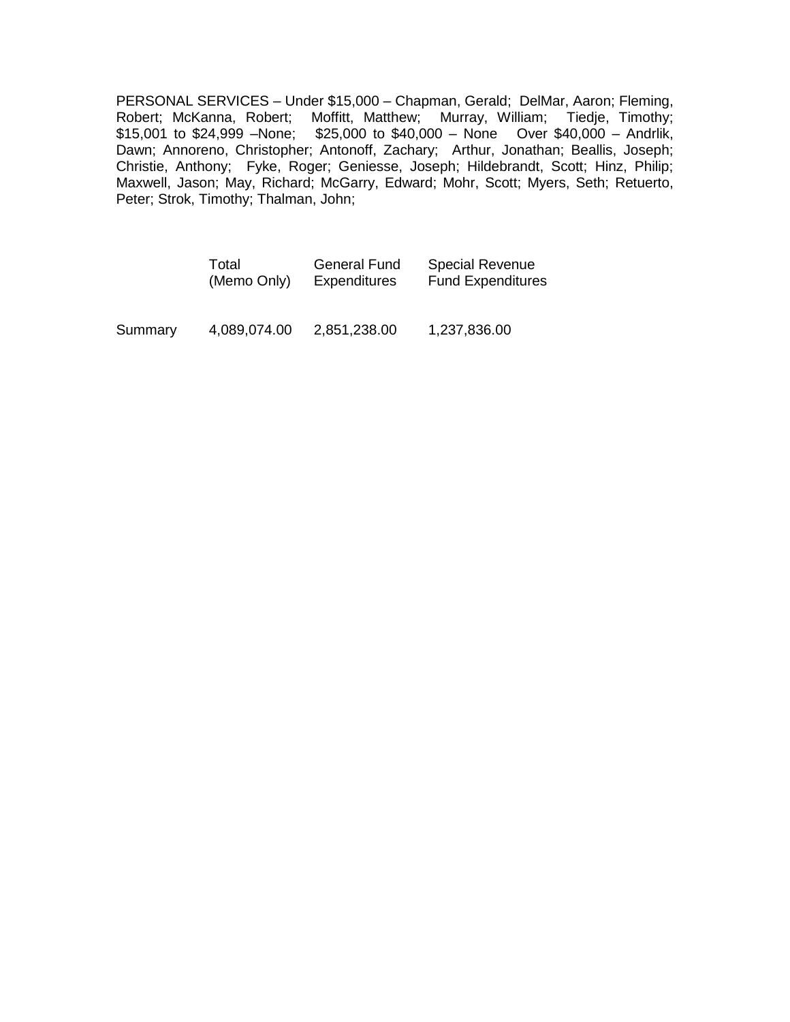PERSONAL SERVICES – Under \$15,000 – Chapman, Gerald; DelMar, Aaron; Fleming, Robert; McKanna, Robert; Moffitt, Matthew; Murray, William; Tiedje, Timothy; \$15,001 to \$24,999 –None; \$25,000 to \$40,000 – None Over \$40,000 – Andrlik, Dawn; Annoreno, Christopher; Antonoff, Zachary; Arthur, Jonathan; Beallis, Joseph; Christie, Anthony; Fyke, Roger; Geniesse, Joseph; Hildebrandt, Scott; Hinz, Philip; Maxwell, Jason; May, Richard; McGarry, Edward; Mohr, Scott; Myers, Seth; Retuerto, Peter; Strok, Timothy; Thalman, John;

|         | Total        | <b>General Fund</b> | <b>Special Revenue</b>   |
|---------|--------------|---------------------|--------------------------|
|         | (Memo Only)  | <b>Expenditures</b> | <b>Fund Expenditures</b> |
| Summary | 4,089,074.00 | 2,851,238.00        | 1,237,836.00             |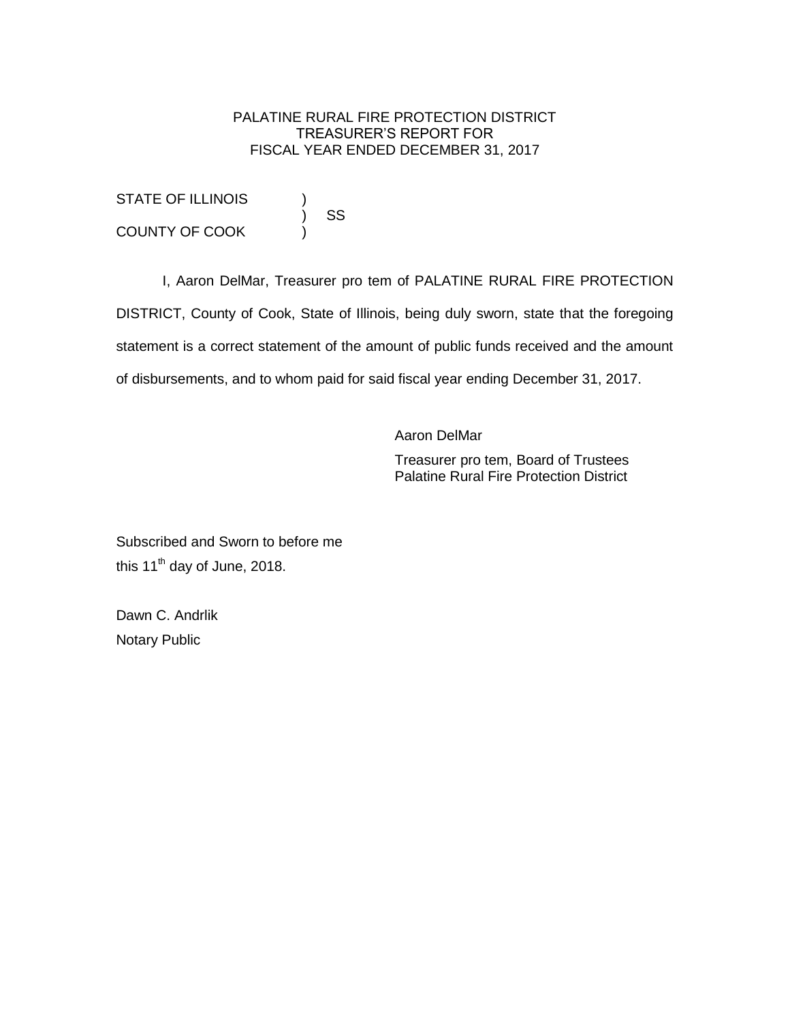# PALATINE RURAL FIRE PROTECTION DISTRICT TREASURER'S REPORT FOR FISCAL YEAR ENDED DECEMBER 31, 2017

STATE OF ILLINOIS ) SS COUNTY OF COOK )

I, Aaron DelMar, Treasurer pro tem of PALATINE RURAL FIRE PROTECTION DISTRICT, County of Cook, State of Illinois, being duly sworn, state that the foregoing statement is a correct statement of the amount of public funds received and the amount of disbursements, and to whom paid for said fiscal year ending December 31, 2017.

Aaron DelMar

Treasurer pro tem, Board of Trustees Palatine Rural Fire Protection District

Subscribed and Sworn to before me this 11<sup>th</sup> day of June, 2018.

Dawn C. Andrlik Notary Public